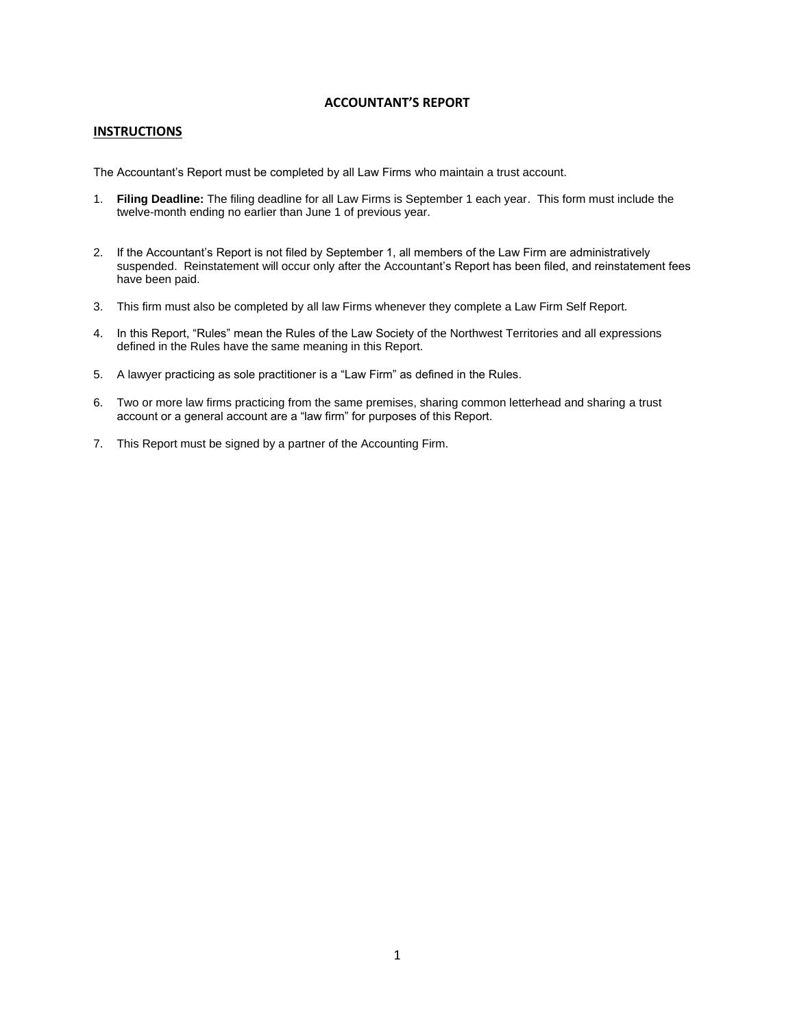## **ACCOUNTANT'S REPORT**

### **INSTRUCTIONS**

The Accountant's Report must be completed by all Law Firms who maintain a trust account.

- 1. **Filing Deadline:** The filing deadline for all Law Firms is September 1 each year. This form must include the twelve-month ending no earlier than June 1 of previous year.
- 2. If the Accountant's Report is not filed by September 1, all members of the Law Firm are administratively suspended. Reinstatement will occur only after the Accountant's Report has been filed, and reinstatement fees have been paid.
- 3. This firm must also be completed by all law Firms whenever they complete a Law Firm Self Report.
- 4. In this Report, "Rules" mean the Rules of the Law Society of the Northwest Territories and all expressions defined in the Rules have the same meaning in this Report.
- 5. A lawyer practicing as sole practitioner is a "Law Firm" as defined in the Rules.
- 6. Two or more law firms practicing from the same premises, sharing common letterhead and sharing a trust account or a general account are a "law firm" for purposes of this Report.
- 7. This Report must be signed by a partner of the Accounting Firm.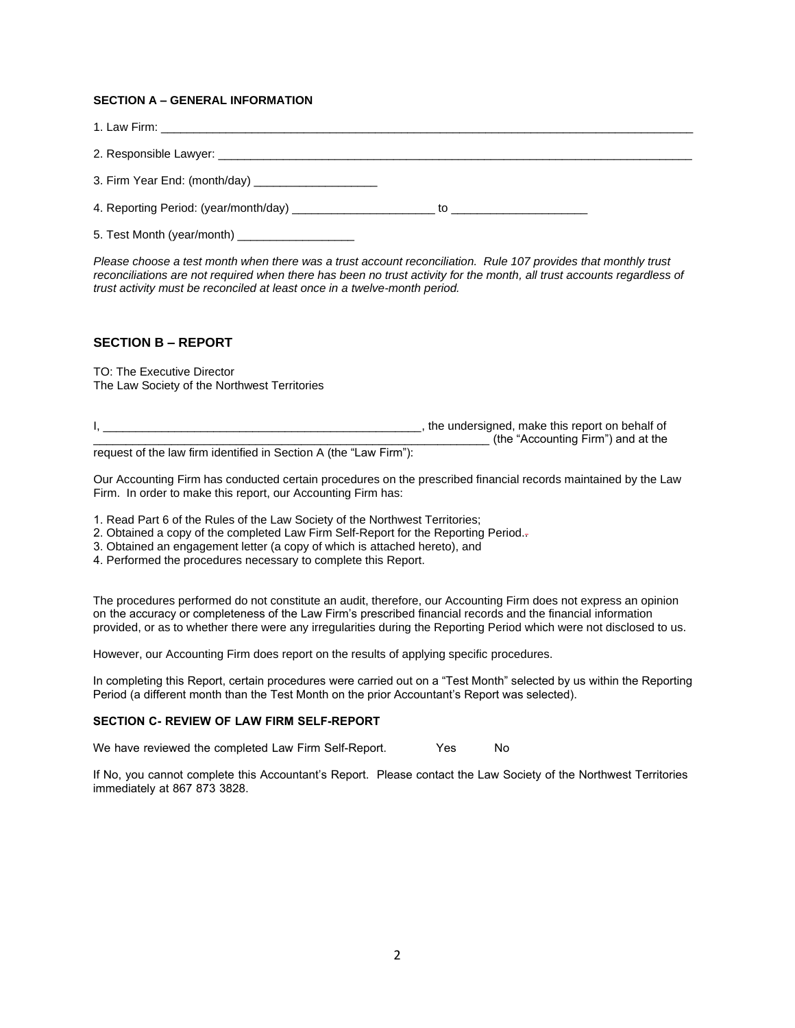### **SECTION A – GENERAL INFORMATION**

| 3. Firm Year End: (month/day)                           |    |
|---------------------------------------------------------|----|
| 4. Reporting Period: (year/month/day) _________________ | tο |

5. Test Month (year/month)

*Please choose a test month when there was a trust account reconciliation. Rule 107 provides that monthly trust reconciliations are not required when there has been no trust activity for the month, all trust accounts regardless of trust activity must be reconciled at least once in a twelve-month period.*

## **SECTION B – REPORT**

TO: The Executive Director The Law Society of the Northwest Territories

| the undersigned, make this report on behalf of |
|------------------------------------------------|
| (the "Accounting Firm") and at the             |

request of the law firm identified in Section A (the "Law Firm"):

Our Accounting Firm has conducted certain procedures on the prescribed financial records maintained by the Law Firm. In order to make this report, our Accounting Firm has:

1. Read Part 6 of the Rules of the Law Society of the Northwest Territories;

- 2. Obtained a copy of the completed Law Firm Self-Report for the Reporting Period.-
- 3. Obtained an engagement letter (a copy of which is attached hereto), and
- 4. Performed the procedures necessary to complete this Report.

The procedures performed do not constitute an audit, therefore, our Accounting Firm does not express an opinion on the accuracy or completeness of the Law Firm's prescribed financial records and the financial information provided, or as to whether there were any irregularities during the Reporting Period which were not disclosed to us.

However, our Accounting Firm does report on the results of applying specific procedures.

In completing this Report, certain procedures were carried out on a "Test Month" selected by us within the Reporting Period (a different month than the Test Month on the prior Accountant's Report was selected).

## **SECTION C- REVIEW OF LAW FIRM SELF-REPORT**

We have reviewed the completed Law Firm Self-Report. Yes No

If No, you cannot complete this Accountant's Report. Please contact the Law Society of the Northwest Territories immediately at 867 873 3828.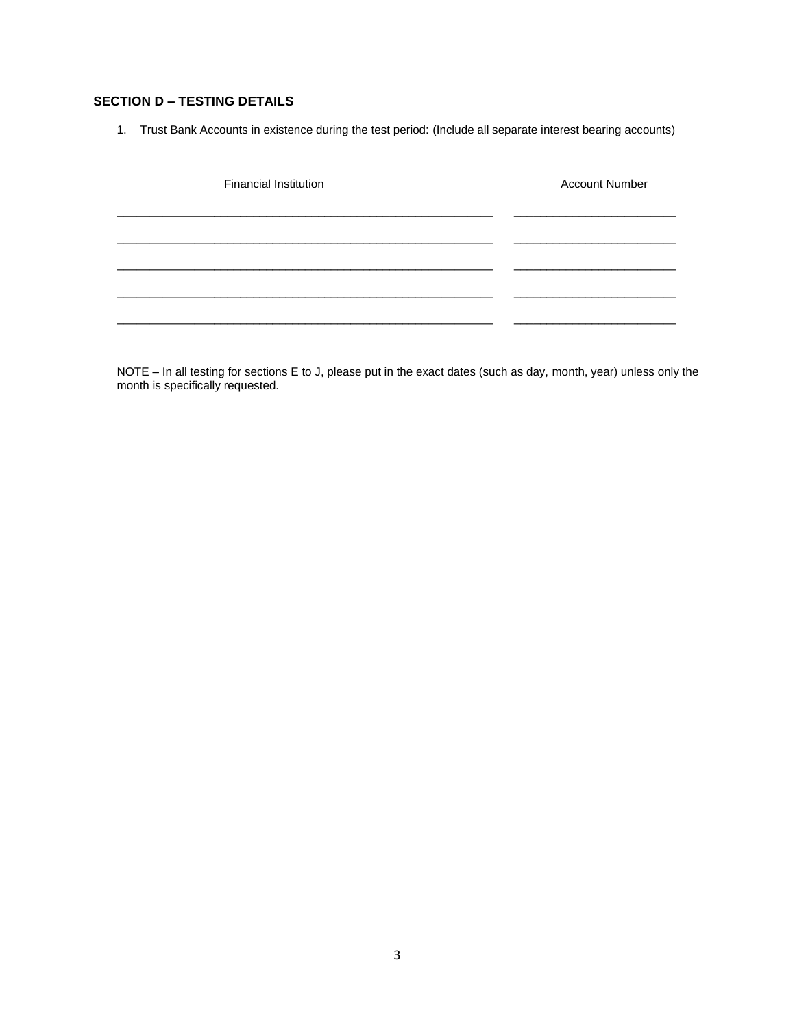# **SECTION D – TESTING DETAILS**

1. Trust Bank Accounts in existence during the test period: (Include all separate interest bearing accounts)

| <b>Financial Institution</b> | <b>Account Number</b> |
|------------------------------|-----------------------|
|                              |                       |
|                              |                       |
|                              |                       |
|                              |                       |

NOTE – In all testing for sections E to J, please put in the exact dates (such as day, month, year) unless only the month is specifically requested.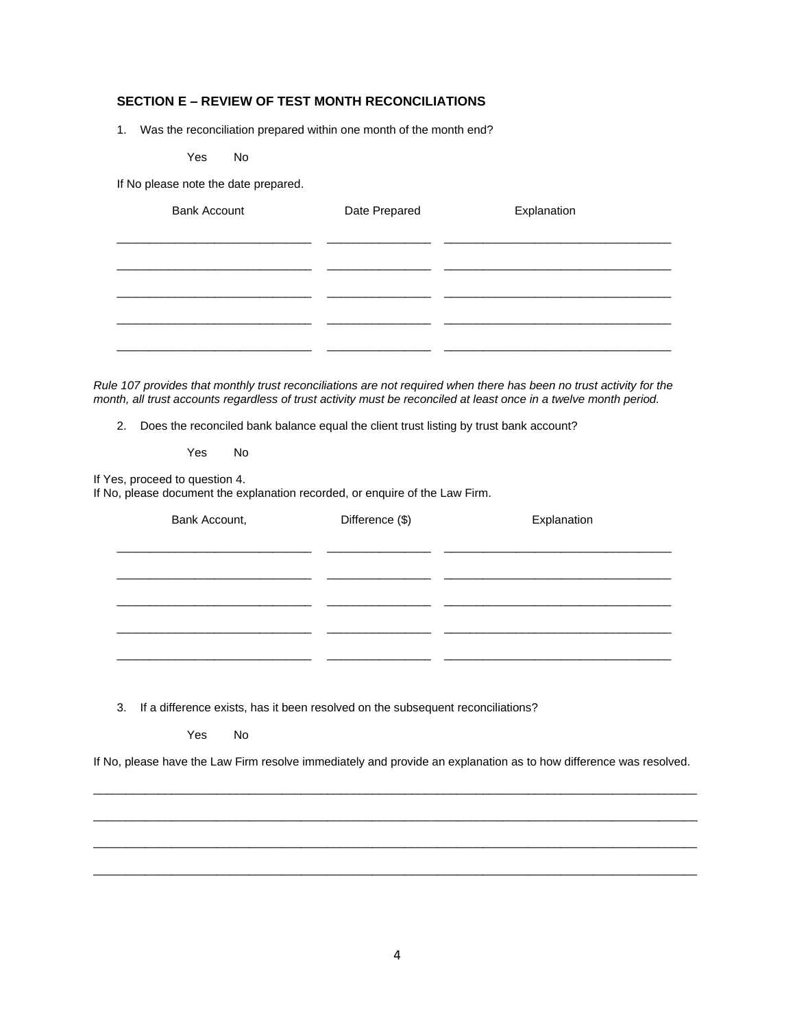# **SECTION E – REVIEW OF TEST MONTH RECONCILIATIONS**

1. Was the reconciliation prepared within one month of the month end?

Yes No

If No please note the date prepared.

| <b>Bank Account</b> | Date Prepared | Explanation |
|---------------------|---------------|-------------|
|                     |               |             |
|                     |               |             |
|                     |               |             |
|                     |               |             |

*Rule 107 provides that monthly trust reconciliations are not required when there has been no trust activity for the month, all trust accounts regardless of trust activity must be reconciled at least once in a twelve month period.*

2. Does the reconciled bank balance equal the client trust listing by trust bank account?

Yes No

If Yes, proceed to question 4.

If No, please document the explanation recorded, or enquire of the Law Firm.

| Bank Account, | Difference (\$) | Explanation |  |
|---------------|-----------------|-------------|--|
|               |                 |             |  |
|               |                 |             |  |
|               |                 |             |  |
|               |                 |             |  |

3. If a difference exists, has it been resolved on the subsequent reconciliations?

Yes No

If No, please have the Law Firm resolve immediately and provide an explanation as to how difference was resolved.

 $\overline{a}$  , and the state of the state of the state of the state of the state of the state of the state of the state of the state of the state of the state of the state of the state of the state of the state of the state o

 $\overline{a}$  , and the state of the state of the state of the state of the state of the state of the state of the state of the state of the state of the state of the state of the state of the state of the state of the state o

 $\overline{a}$  , and the state of the state of the state of the state of the state of the state of the state of the state of the state of the state of the state of the state of the state of the state of the state of the state o

 $\overline{a}$  , and the state of the state of the state of the state of the state of the state of the state of the state of the state of the state of the state of the state of the state of the state of the state of the state o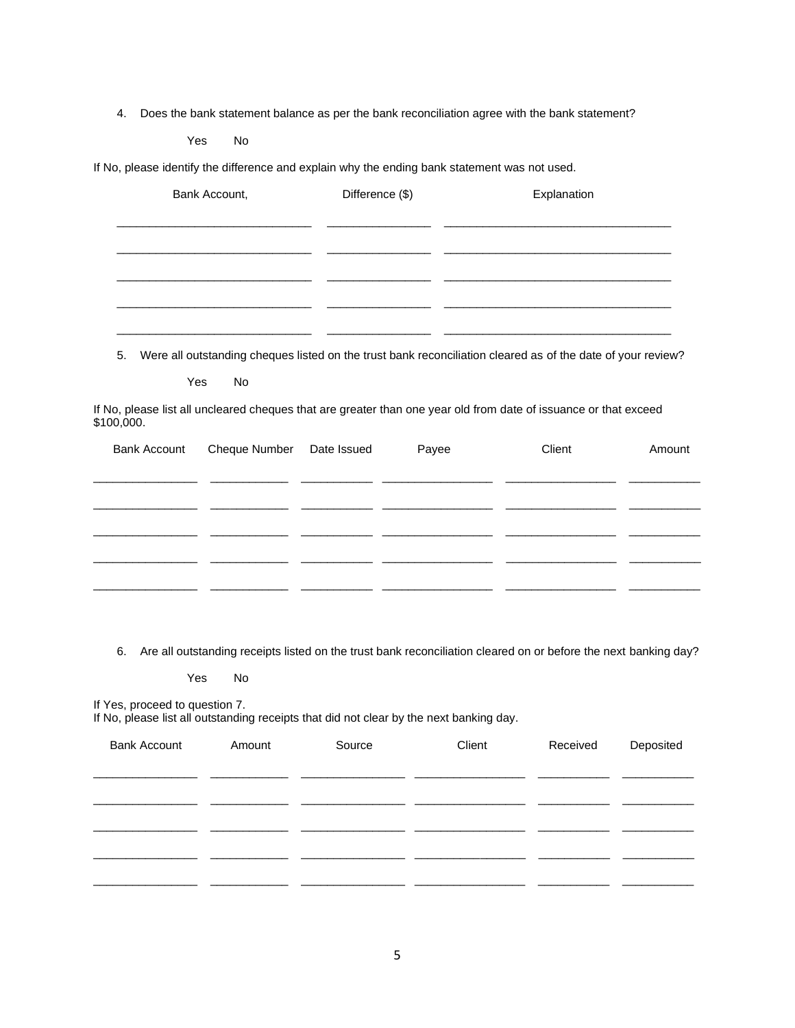4. Does the bank statement balance as per the bank reconciliation agree with the bank statement?

Yes No

If No, please identify the difference and explain why the ending bank statement was not used.

| Bank Account, | Difference (\$) | Explanation |
|---------------|-----------------|-------------|
|               |                 |             |
|               |                 |             |
|               |                 |             |
|               |                 |             |
|               |                 |             |

5. Were all outstanding cheques listed on the trust bank reconciliation cleared as of the date of your review?

Yes No

If No, please list all uncleared cheques that are greater than one year old from date of issuance or that exceed \$100,000.

| Bank Account Cheque Number Date Issued | Payee | Client | Amount |
|----------------------------------------|-------|--------|--------|
|                                        |       |        |        |
|                                        |       |        |        |
|                                        |       |        |        |
|                                        |       |        |        |
|                                        |       |        |        |
|                                        |       |        |        |

6. Are all outstanding receipts listed on the trust bank reconciliation cleared on or before the next banking day?

Yes No

If Yes, proceed to question 7.

If No, please list all outstanding receipts that did not clear by the next banking day.

| <b>Bank Account</b> | Amount | Source | Client | Received | Deposited |
|---------------------|--------|--------|--------|----------|-----------|
|                     |        |        |        |          |           |
|                     |        |        |        |          |           |
|                     |        |        |        |          |           |
|                     |        |        |        |          |           |
|                     |        |        |        |          |           |
|                     |        |        |        |          |           |
|                     |        |        |        |          |           |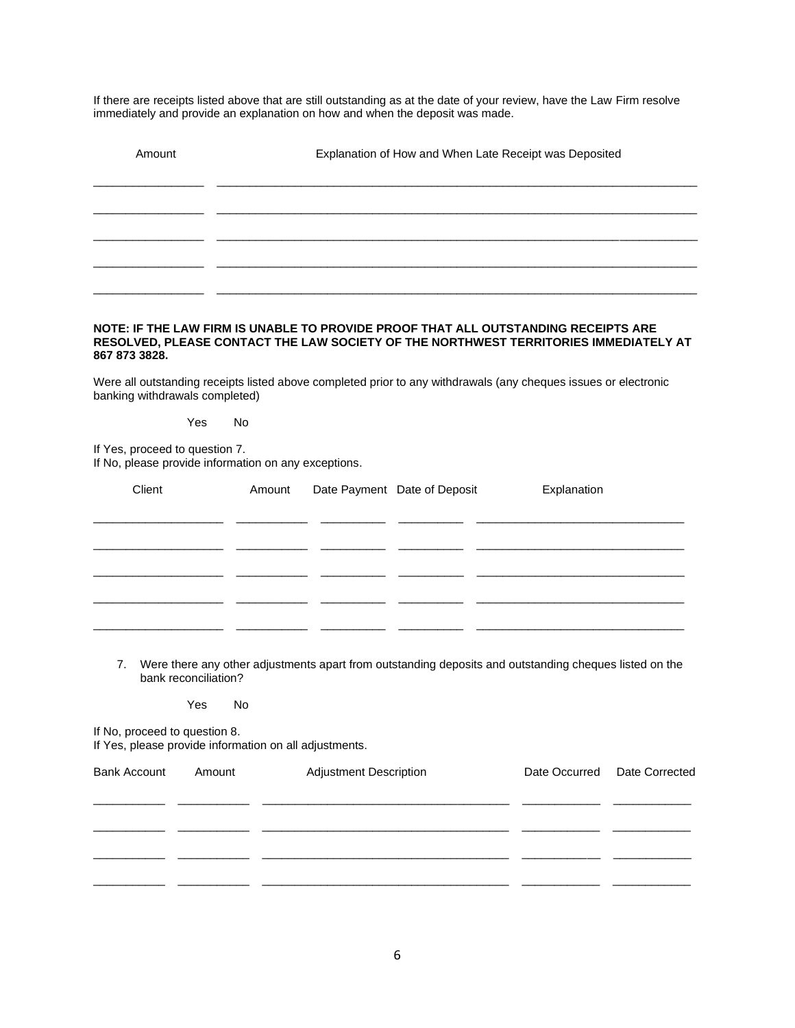If there are receipts listed above that are still outstanding as at the date of your review, have the Law Firm resolve immediately and provide an explanation on how and when the deposit was made.

| Amount | Explanation of How and When Late Receipt was Deposited |
|--------|--------------------------------------------------------|
|        |                                                        |
|        |                                                        |
|        |                                                        |
|        |                                                        |

### **NOTE: IF THE LAW FIRM IS UNABLE TO PROVIDE PROOF THAT ALL OUTSTANDING RECEIPTS ARE RESOLVED, PLEASE CONTACT THE LAW SOCIETY OF THE NORTHWEST TERRITORIES IMMEDIATELY AT 867 873 3828.**

Were all outstanding receipts listed above completed prior to any withdrawals (any cheques issues or electronic banking withdrawals completed)

### Yes No

If Yes, proceed to question 7. If No, please provide information on any exceptions.

| Client | Amount | Date Payment Date of Deposit | Explanation |
|--------|--------|------------------------------|-------------|
|        |        |                              |             |
|        |        |                              |             |
|        |        |                              |             |
|        |        |                              |             |
|        |        |                              |             |
|        |        |                              |             |

7. Were there any other adjustments apart from outstanding deposits and outstanding cheques listed on the bank reconciliation?

Yes No

If No, proceed to question 8.

If Yes, please provide information on all adjustments.

| <b>Bank Account</b> | Amount | <b>Adjustment Description</b> | Date Occurred Date Corrected |
|---------------------|--------|-------------------------------|------------------------------|
|                     |        |                               |                              |
|                     |        |                               |                              |
|                     |        |                               |                              |
|                     |        |                               |                              |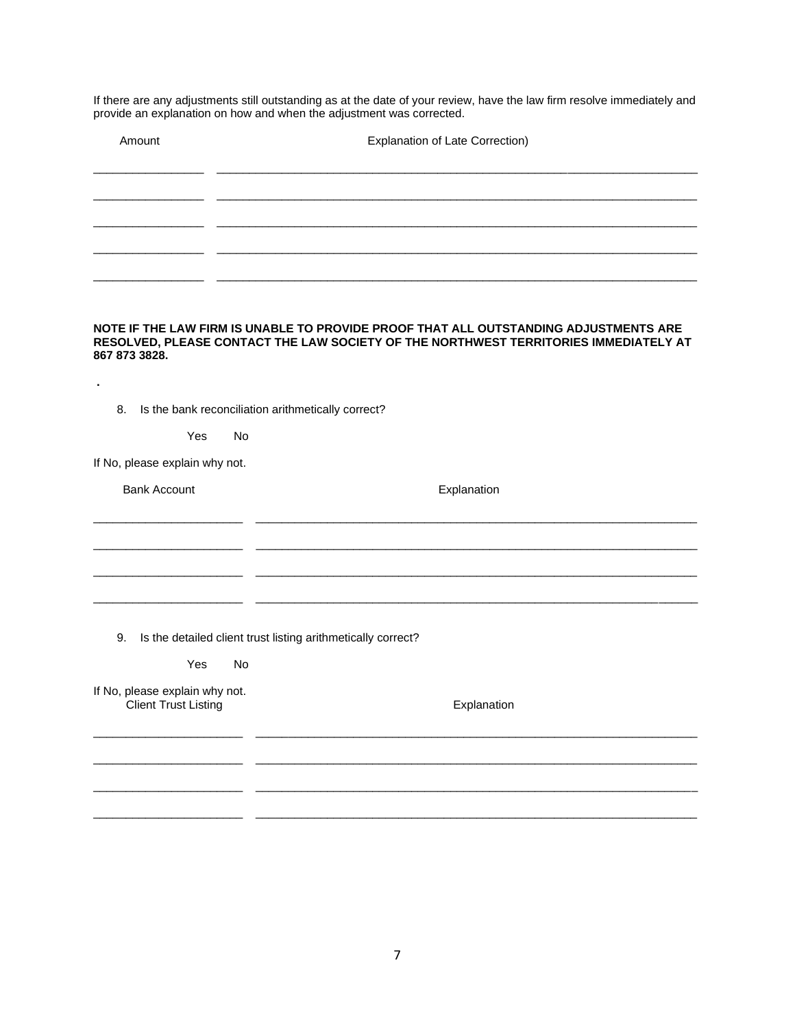If there are any adjustments still outstanding as at the date of your review, have the law firm resolve immediately and provide an explanation on how and when the adjustment was corrected.

| Amount | <b>Explanation of Late Correction)</b> |  |  |
|--------|----------------------------------------|--|--|
|        |                                        |  |  |
|        |                                        |  |  |
|        |                                        |  |  |
|        |                                        |  |  |

### **NOTE IF THE LAW FIRM IS UNABLE TO PROVIDE PROOF THAT ALL OUTSTANDING ADJUSTMENTS ARE RESOLVED, PLEASE CONTACT THE LAW SOCIETY OF THE NORTHWEST TERRITORIES IMMEDIATELY AT 867 873 3828.**

| 8.                                                            | Is the bank reconciliation arithmetically correct?           |
|---------------------------------------------------------------|--------------------------------------------------------------|
| Yes<br><b>No</b>                                              |                                                              |
| If No, please explain why not.                                |                                                              |
| <b>Bank Account</b>                                           | Explanation                                                  |
|                                                               |                                                              |
|                                                               |                                                              |
|                                                               |                                                              |
|                                                               |                                                              |
| 9.                                                            | Is the detailed client trust listing arithmetically correct? |
| Yes<br><b>No</b>                                              |                                                              |
|                                                               |                                                              |
| If No, please explain why not.<br><b>Client Trust Listing</b> | Explanation                                                  |
|                                                               |                                                              |
|                                                               |                                                              |
|                                                               |                                                              |
|                                                               |                                                              |

 $\frac{1}{2}$  ,  $\frac{1}{2}$  ,  $\frac{1}{2}$  ,  $\frac{1}{2}$  ,  $\frac{1}{2}$  ,  $\frac{1}{2}$  ,  $\frac{1}{2}$  ,  $\frac{1}{2}$  ,  $\frac{1}{2}$  ,  $\frac{1}{2}$  ,  $\frac{1}{2}$  ,  $\frac{1}{2}$  ,  $\frac{1}{2}$  ,  $\frac{1}{2}$  ,  $\frac{1}{2}$  ,  $\frac{1}{2}$  ,  $\frac{1}{2}$  ,  $\frac{1}{2}$  ,  $\frac{1$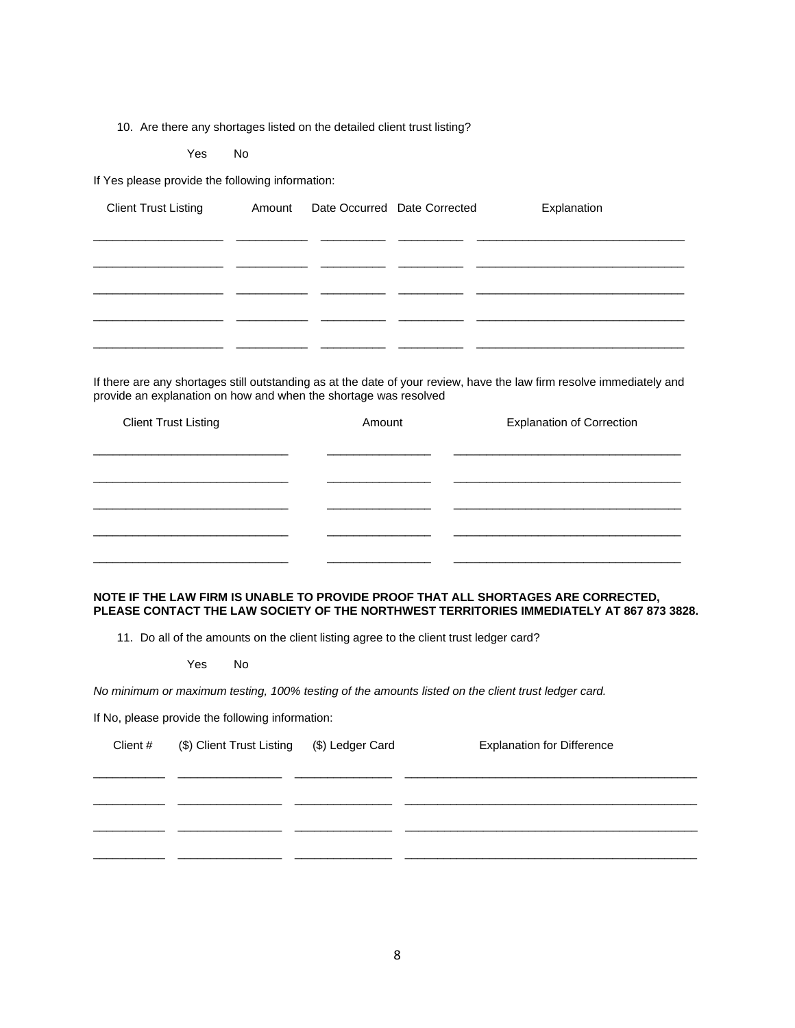10. Are there any shortages listed on the detailed client trust listing?

Yes No

If Yes please provide the following information:

| <b>Client Trust Listing</b> | Amount | Date Occurred Date Corrected | Explanation |
|-----------------------------|--------|------------------------------|-------------|
|                             |        |                              |             |
|                             |        |                              |             |
|                             |        |                              |             |
|                             |        |                              |             |
|                             |        |                              |             |
|                             |        |                              |             |

If there are any shortages still outstanding as at the date of your review, have the law firm resolve immediately and provide an explanation on how and when the shortage was resolved

| <b>Client Trust Listing</b> | Amount | <b>Explanation of Correction</b> |
|-----------------------------|--------|----------------------------------|
|                             |        |                                  |
|                             |        |                                  |
|                             |        |                                  |
|                             |        |                                  |
|                             |        |                                  |

### **NOTE IF THE LAW FIRM IS UNABLE TO PROVIDE PROOF THAT ALL SHORTAGES ARE CORRECTED, PLEASE CONTACT THE LAW SOCIETY OF THE NORTHWEST TERRITORIES IMMEDIATELY AT 867 873 3828.**

11. Do all of the amounts on the client listing agree to the client trust ledger card?

Yes No

*No minimum or maximum testing, 100% testing of the amounts listed on the client trust ledger card.*

If No, please provide the following information:

| Client # | (\$) Client Trust Listing (\$) Ledger Card | <b>Explanation for Difference</b> |
|----------|--------------------------------------------|-----------------------------------|
|          |                                            |                                   |
|          |                                            |                                   |
|          |                                            |                                   |
|          |                                            |                                   |
|          |                                            |                                   |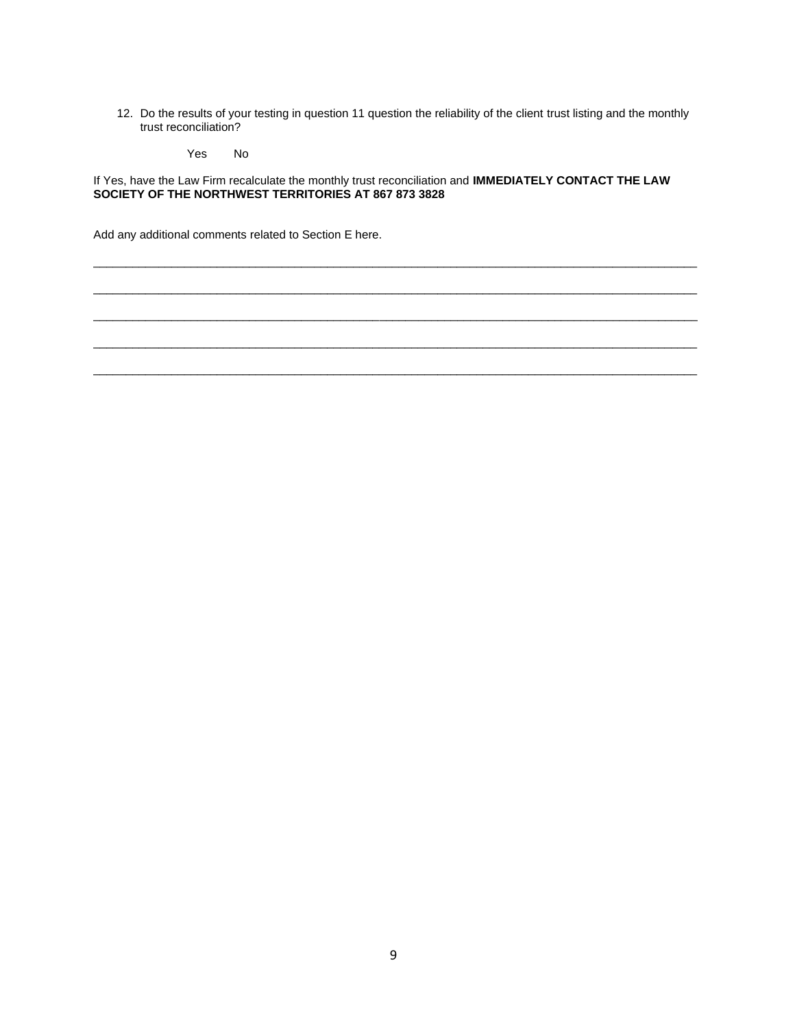12. Do the results of your testing in question 11 question the reliability of the client trust listing and the monthly trust reconciliation?

Yes No

If Yes, have the Law Firm recalculate the monthly trust reconciliation and **IMMEDIATELY CONTACT THE LAW SOCIETY OF THE NORTHWEST TERRITORIES AT 867 873 3828**

 $\overline{a}$  , and the state of the state of the state of the state of the state of the state of the state of the state of the state of the state of the state of the state of the state of the state of the state of the state o

 $\overline{a}$  , and the state of the state of the state of the state of the state of the state of the state of the state of the state of the state of the state of the state of the state of the state of the state of the state o

 $\overline{a}$  , and the state of the state of the state of the state of the state of the state of the state of the state of the state of the state of the state of the state of the state of the state of the state of the state o

 $\overline{a}$  , and the state of the state of the state of the state of the state of the state of the state of the state of the state of the state of the state of the state of the state of the state of the state of the state o

 $\overline{a}$  , and the state of the state of the state of the state of the state of the state of the state of the state of the state of the state of the state of the state of the state of the state of the state of the state o

Add any additional comments related to Section E here.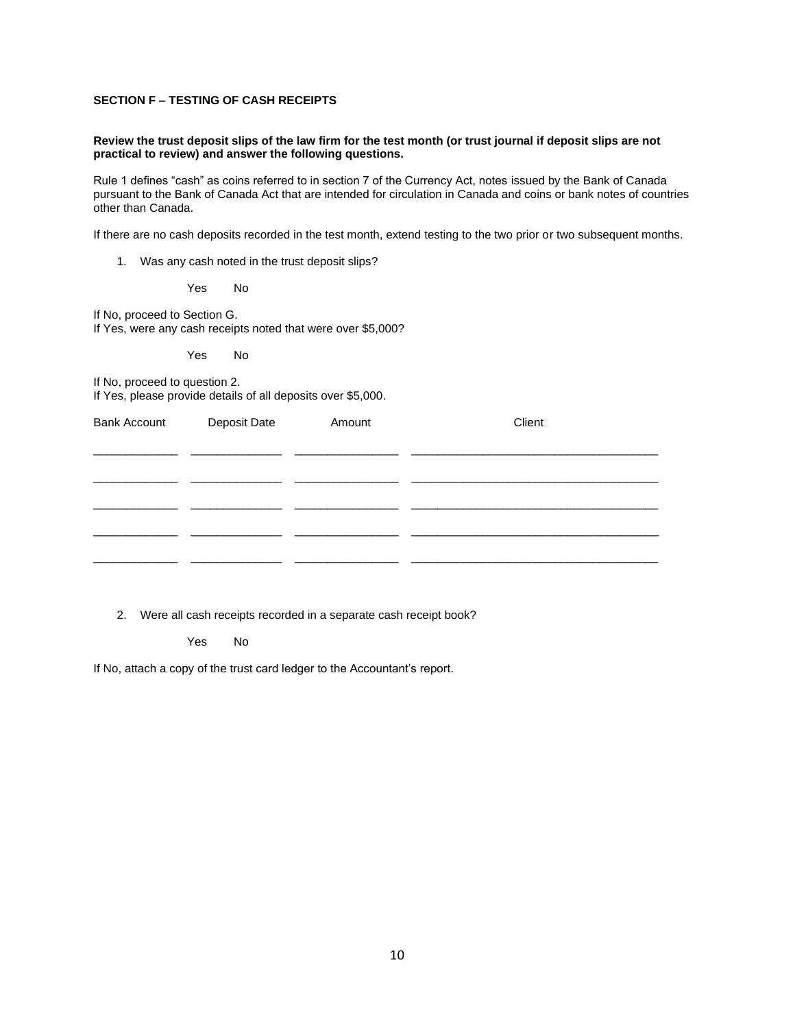### **SECTION F – TESTING OF CASH RECEIPTS**

#### **Review the trust deposit slips of the law firm for the test month (or trust journal if deposit slips are not practical to review) and answer the following questions.**

Rule 1 defines "cash" as coins referred to in section 7 of the Currency Act, notes issued by the Bank of Canada pursuant to the Bank of Canada Act that are intended for circulation in Canada and coins or bank notes of countries other than Canada.

If there are no cash deposits recorded in the test month, extend testing to the two prior or two subsequent months.

1. Was any cash noted in the trust deposit slips?

Yes No

If No, proceed to Section G.

If Yes, were any cash receipts noted that were over \$5,000?

Yes No

If No, proceed to question 2. If Yes, please provide details of all deposits over \$5,000.

| <b>Bank Account</b> | Deposit Date | Amount | Client |
|---------------------|--------------|--------|--------|
|                     |              |        |        |
|                     |              |        |        |
|                     |              |        |        |
|                     |              |        |        |

2. Were all cash receipts recorded in a separate cash receipt book?

Yes No

If No, attach a copy of the trust card ledger to the Accountant's report.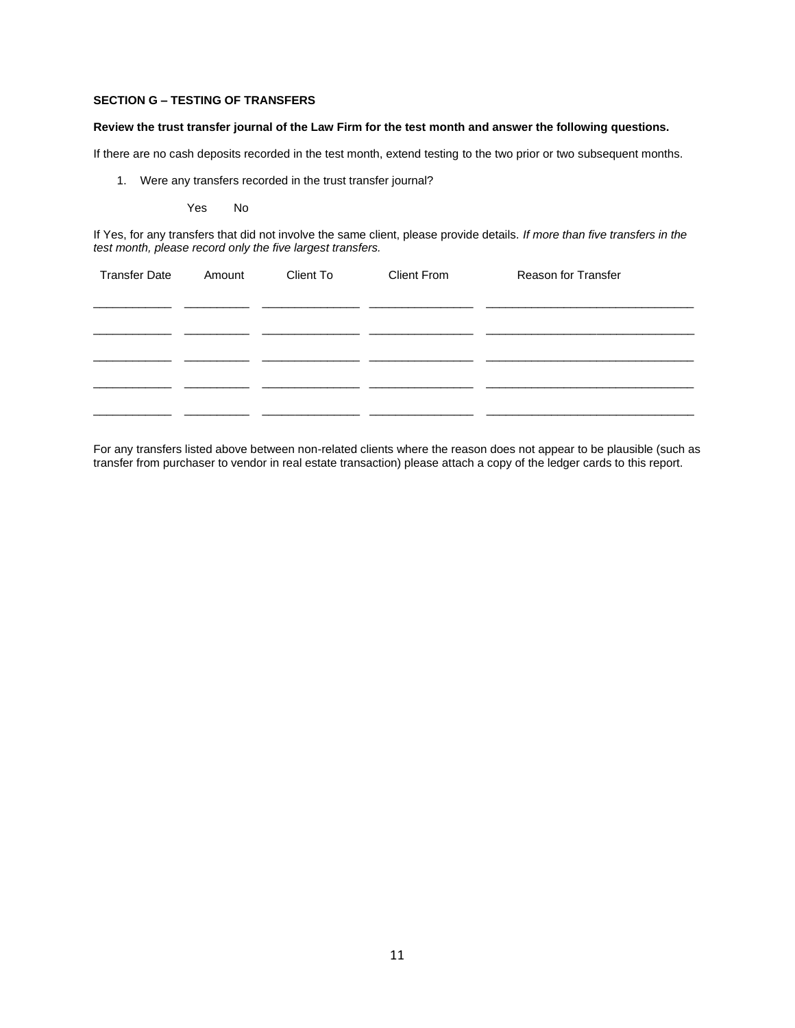### **SECTION G – TESTING OF TRANSFERS**

### **Review the trust transfer journal of the Law Firm for the test month and answer the following questions.**

If there are no cash deposits recorded in the test month, extend testing to the two prior or two subsequent months.

1. Were any transfers recorded in the trust transfer journal?

Yes No

If Yes, for any transfers that did not involve the same client, please provide details. *If more than five transfers in the test month, please record only the five largest transfers.*

| <b>Transfer Date</b> | Amount | Client To | <b>Client From</b> | Reason for Transfer |
|----------------------|--------|-----------|--------------------|---------------------|
|                      |        |           |                    |                     |
|                      |        |           |                    |                     |
|                      |        |           |                    |                     |
|                      |        |           |                    |                     |
|                      |        |           |                    |                     |
|                      |        |           |                    |                     |

For any transfers listed above between non-related clients where the reason does not appear to be plausible (such as transfer from purchaser to vendor in real estate transaction) please attach a copy of the ledger cards to this report.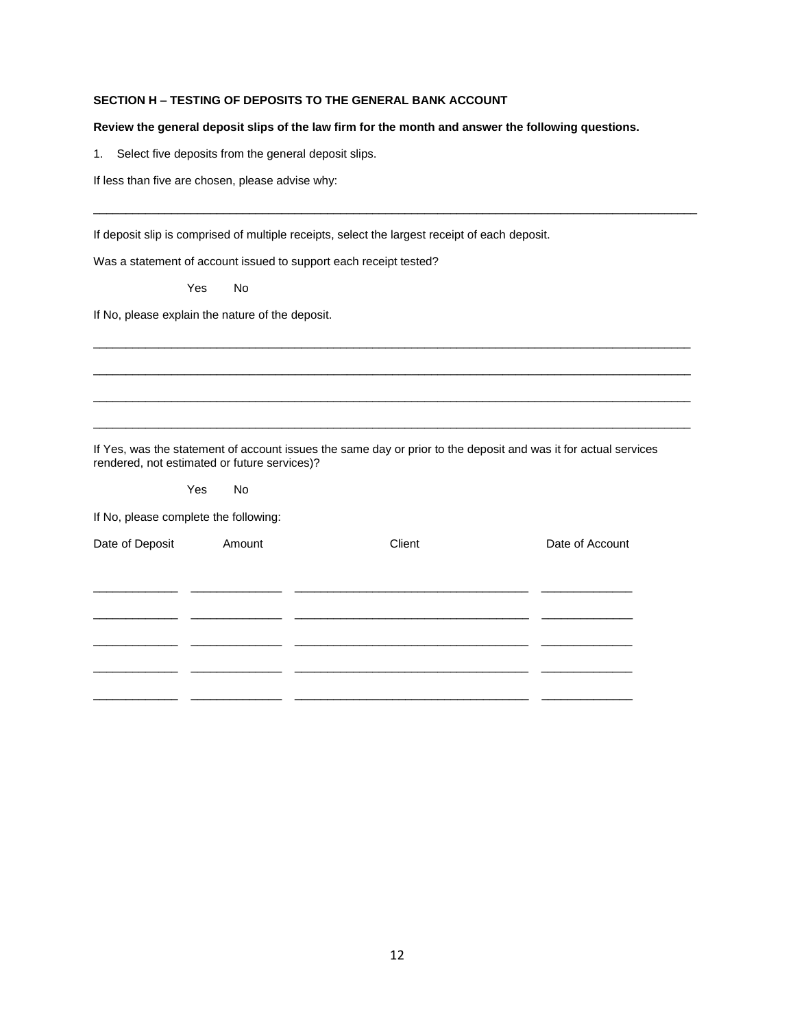# **SECTION H – TESTING OF DEPOSITS TO THE GENERAL BANK ACCOUNT**

### **Review the general deposit slips of the law firm for the month and answer the following questions.**

 $\overline{a}$  , and the state of the state of the state of the state of the state of the state of the state of the state of the state of the state of the state of the state of the state of the state of the state of the state o

 $\mathcal{L}_\mathcal{L} = \{ \mathcal{L}_\mathcal{L} = \{ \mathcal{L}_\mathcal{L} = \{ \mathcal{L}_\mathcal{L} = \{ \mathcal{L}_\mathcal{L} = \{ \mathcal{L}_\mathcal{L} = \{ \mathcal{L}_\mathcal{L} = \{ \mathcal{L}_\mathcal{L} = \{ \mathcal{L}_\mathcal{L} = \{ \mathcal{L}_\mathcal{L} = \{ \mathcal{L}_\mathcal{L} = \{ \mathcal{L}_\mathcal{L} = \{ \mathcal{L}_\mathcal{L} = \{ \mathcal{L}_\mathcal{L} = \{ \mathcal{L}_\mathcal{$ 

 $\mathcal{L}_\mathcal{L} = \{ \mathcal{L}_\mathcal{L} = \{ \mathcal{L}_\mathcal{L} = \{ \mathcal{L}_\mathcal{L} = \{ \mathcal{L}_\mathcal{L} = \{ \mathcal{L}_\mathcal{L} = \{ \mathcal{L}_\mathcal{L} = \{ \mathcal{L}_\mathcal{L} = \{ \mathcal{L}_\mathcal{L} = \{ \mathcal{L}_\mathcal{L} = \{ \mathcal{L}_\mathcal{L} = \{ \mathcal{L}_\mathcal{L} = \{ \mathcal{L}_\mathcal{L} = \{ \mathcal{L}_\mathcal{L} = \{ \mathcal{L}_\mathcal{$ 

 $\mathcal{L}_\mathcal{L} = \{ \mathcal{L}_\mathcal{L} = \{ \mathcal{L}_\mathcal{L} = \{ \mathcal{L}_\mathcal{L} = \{ \mathcal{L}_\mathcal{L} = \{ \mathcal{L}_\mathcal{L} = \{ \mathcal{L}_\mathcal{L} = \{ \mathcal{L}_\mathcal{L} = \{ \mathcal{L}_\mathcal{L} = \{ \mathcal{L}_\mathcal{L} = \{ \mathcal{L}_\mathcal{L} = \{ \mathcal{L}_\mathcal{L} = \{ \mathcal{L}_\mathcal{L} = \{ \mathcal{L}_\mathcal{L} = \{ \mathcal{L}_\mathcal{$ 

 $\mathcal{L}_\mathcal{L} = \{ \mathcal{L}_\mathcal{L} = \{ \mathcal{L}_\mathcal{L} = \{ \mathcal{L}_\mathcal{L} = \{ \mathcal{L}_\mathcal{L} = \{ \mathcal{L}_\mathcal{L} = \{ \mathcal{L}_\mathcal{L} = \{ \mathcal{L}_\mathcal{L} = \{ \mathcal{L}_\mathcal{L} = \{ \mathcal{L}_\mathcal{L} = \{ \mathcal{L}_\mathcal{L} = \{ \mathcal{L}_\mathcal{L} = \{ \mathcal{L}_\mathcal{L} = \{ \mathcal{L}_\mathcal{L} = \{ \mathcal{L}_\mathcal{$ 

1. Select five deposits from the general deposit slips.

If less than five are chosen, please advise why:

If deposit slip is comprised of multiple receipts, select the largest receipt of each deposit.

Was a statement of account issued to support each receipt tested?

Yes No

If No, please explain the nature of the deposit.

If Yes, was the statement of account issues the same day or prior to the deposit and was it for actual services rendered, not estimated or future services)?

Yes No

If No, please complete the following:

| Date of Deposit | Amount | Client | Date of Account |
|-----------------|--------|--------|-----------------|
|                 |        |        |                 |
|                 |        |        |                 |
|                 |        |        |                 |
|                 |        |        |                 |
|                 |        |        |                 |
|                 |        |        |                 |
|                 |        |        |                 |
|                 |        |        |                 |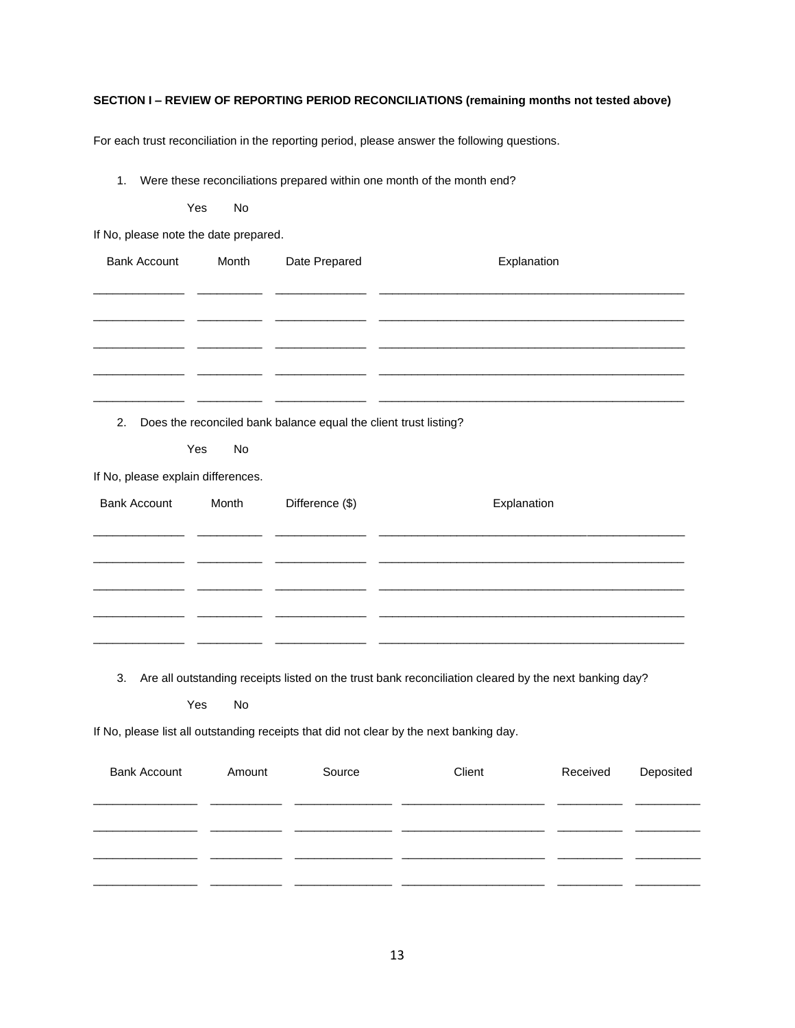# **SECTION I – REVIEW OF REPORTING PERIOD RECONCILIATIONS (remaining months not tested above)**

For each trust reconciliation in the reporting period, please answer the following questions.

1. Were these reconciliations prepared within one month of the month end?

Yes No

If No, please note the date prepared.

| <b>Bank Account</b>                | Month     | Date Prepared                                                    | Explanation                                                                                           |
|------------------------------------|-----------|------------------------------------------------------------------|-------------------------------------------------------------------------------------------------------|
|                                    |           |                                                                  |                                                                                                       |
|                                    |           |                                                                  |                                                                                                       |
|                                    |           |                                                                  |                                                                                                       |
|                                    |           |                                                                  |                                                                                                       |
| 2.                                 |           | Does the reconciled bank balance equal the client trust listing? |                                                                                                       |
|                                    | Yes<br>No |                                                                  |                                                                                                       |
| If No, please explain differences. |           |                                                                  |                                                                                                       |
| <b>Bank Account</b>                | Month     | Difference (\$)                                                  | Explanation                                                                                           |
|                                    |           |                                                                  |                                                                                                       |
|                                    |           |                                                                  |                                                                                                       |
|                                    |           |                                                                  |                                                                                                       |
|                                    |           |                                                                  |                                                                                                       |
| 3.                                 |           |                                                                  | Are all outstanding receipts listed on the trust bank reconciliation cleared by the next banking day? |
|                                    | Yes<br>No |                                                                  |                                                                                                       |
|                                    |           |                                                                  | If No, please list all outstanding receipts that did not clear by the next banking day.               |

| <b>Bank Account</b> | Amount | Source | Client | Received | Deposited |
|---------------------|--------|--------|--------|----------|-----------|
|                     |        |        |        |          |           |
|                     |        |        |        |          |           |
|                     |        |        |        |          |           |
|                     |        |        |        |          |           |
|                     |        |        |        |          |           |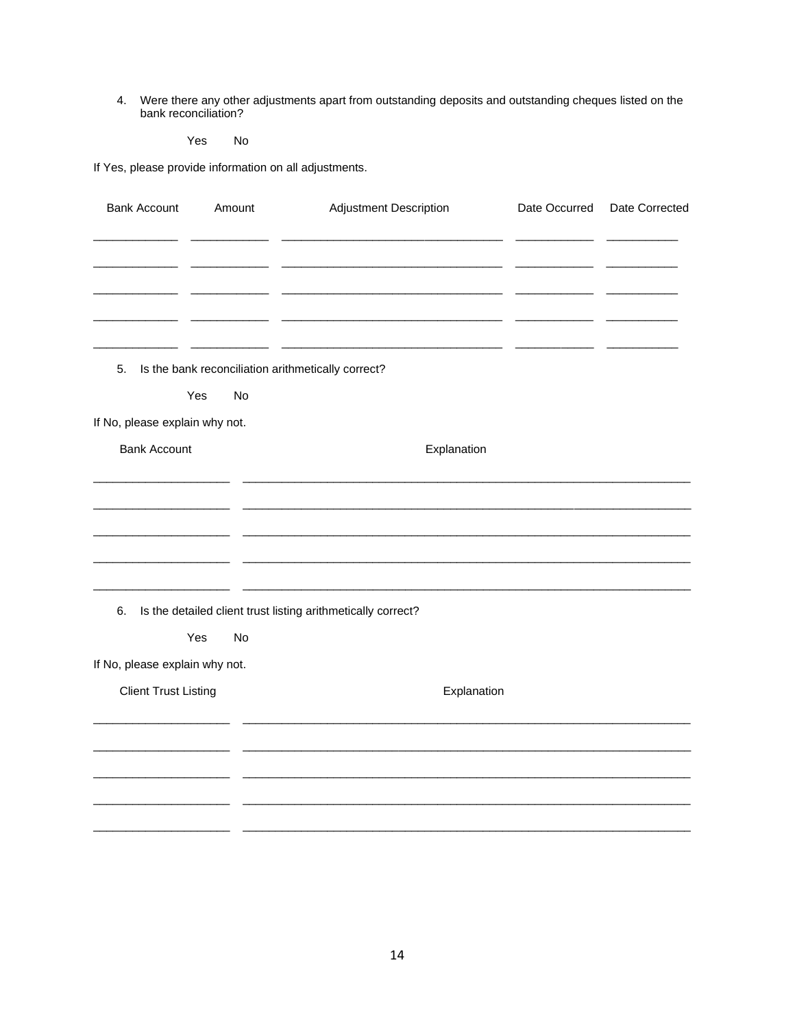4. Were there any other adjustments apart from outstanding deposits and outstanding cheques listed on the bank reconciliation?

Yes No

If Yes, please provide information on all adjustments.

| <b>Bank Account</b>            | Amount    | Adjustment Description                                       | Date Occurred | Date Corrected |
|--------------------------------|-----------|--------------------------------------------------------------|---------------|----------------|
|                                |           |                                                              |               |                |
|                                |           |                                                              |               |                |
|                                |           |                                                              |               |                |
|                                |           |                                                              |               |                |
| 5.                             |           | Is the bank reconciliation arithmetically correct?           |               |                |
|                                | Yes<br>No |                                                              |               |                |
| If No, please explain why not. |           |                                                              |               |                |
| <b>Bank Account</b>            |           | Explanation                                                  |               |                |
|                                |           |                                                              |               |                |
|                                |           |                                                              |               |                |
|                                |           |                                                              |               |                |
|                                |           |                                                              |               |                |
| 6.                             |           | Is the detailed client trust listing arithmetically correct? |               |                |
|                                | Yes<br>No |                                                              |               |                |
| If No, please explain why not. |           |                                                              |               |                |
| <b>Client Trust Listing</b>    |           | Explanation                                                  |               |                |
|                                |           |                                                              |               |                |
|                                |           |                                                              |               |                |
|                                |           |                                                              |               |                |
|                                |           |                                                              |               |                |
|                                |           |                                                              |               |                |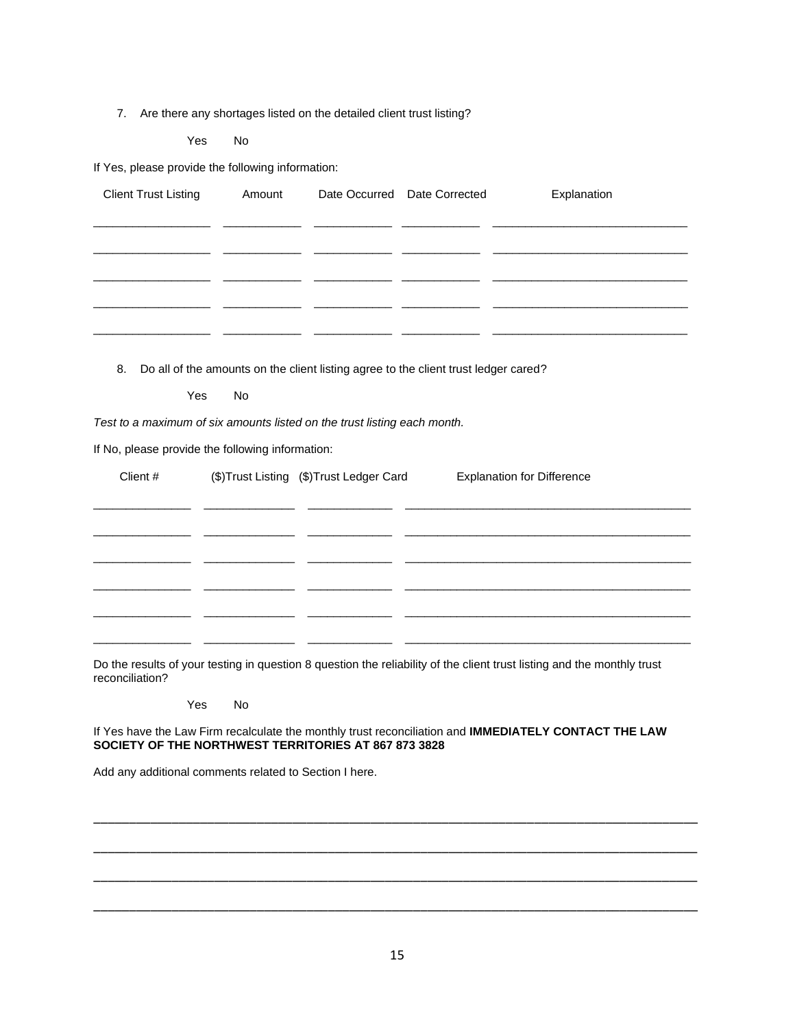7. Are there any shortages listed on the detailed client trust listing?

Yes No

If Yes, please provide the following information:

| <b>Client Trust Listing</b> | Amount | Date Occurred Date Corrected | Explanation |
|-----------------------------|--------|------------------------------|-------------|
|                             |        |                              |             |
|                             |        |                              |             |
|                             |        |                              |             |
|                             |        |                              |             |
|                             |        |                              |             |
|                             |        |                              |             |
|                             |        |                              |             |

8. Do all of the amounts on the client listing agree to the client trust ledger cared?

Yes No

*Test to a maximum of six amounts listed on the trust listing each month.*

If No, please provide the following information:

| Client # | (\$)Trust Listing (\$)Trust Ledger Card | <b>Explanation for Difference</b> |
|----------|-----------------------------------------|-----------------------------------|
|          |                                         |                                   |
|          |                                         |                                   |
|          |                                         |                                   |
|          |                                         |                                   |
|          |                                         |                                   |
|          |                                         |                                   |
|          |                                         |                                   |

Do the results of your testing in question 8 question the reliability of the client trust listing and the monthly trust reconciliation?

Yes No

If Yes have the Law Firm recalculate the monthly trust reconciliation and **IMMEDIATELY CONTACT THE LAW SOCIETY OF THE NORTHWEST TERRITORIES AT 867 873 3828**

Add any additional comments related to Section I here.

\_\_\_\_\_\_\_\_\_\_\_\_\_\_\_\_\_\_\_\_\_\_\_\_\_\_\_\_\_\_\_\_\_\_\_\_\_\_\_\_\_\_\_\_\_\_\_\_\_\_\_\_\_\_\_\_\_\_\_\_\_\_\_\_\_\_\_\_\_\_\_\_\_\_\_\_\_\_\_\_\_\_\_\_\_

\_\_\_\_\_\_\_\_\_\_\_\_\_\_\_\_\_\_\_\_\_\_\_\_\_\_\_\_\_\_\_\_\_\_\_\_\_\_\_\_\_\_\_\_\_\_\_\_\_\_\_\_\_\_\_\_\_\_\_\_\_\_\_\_\_\_\_\_\_\_\_\_\_\_\_\_\_\_\_\_\_\_\_\_\_

\_\_\_\_\_\_\_\_\_\_\_\_\_\_\_\_\_\_\_\_\_\_\_\_\_\_\_\_\_\_\_\_\_\_\_\_\_\_\_\_\_\_\_\_\_\_\_\_\_\_\_\_\_\_\_\_\_\_\_\_\_\_\_\_\_\_\_\_\_\_\_\_\_\_\_\_\_\_\_\_\_\_\_\_\_

\_\_\_\_\_\_\_\_\_\_\_\_\_\_\_\_\_\_\_\_\_\_\_\_\_\_\_\_\_\_\_\_\_\_\_\_\_\_\_\_\_\_\_\_\_\_\_\_\_\_\_\_\_\_\_\_\_\_\_\_\_\_\_\_\_\_\_\_\_\_\_\_\_\_\_\_\_\_\_\_\_\_\_\_\_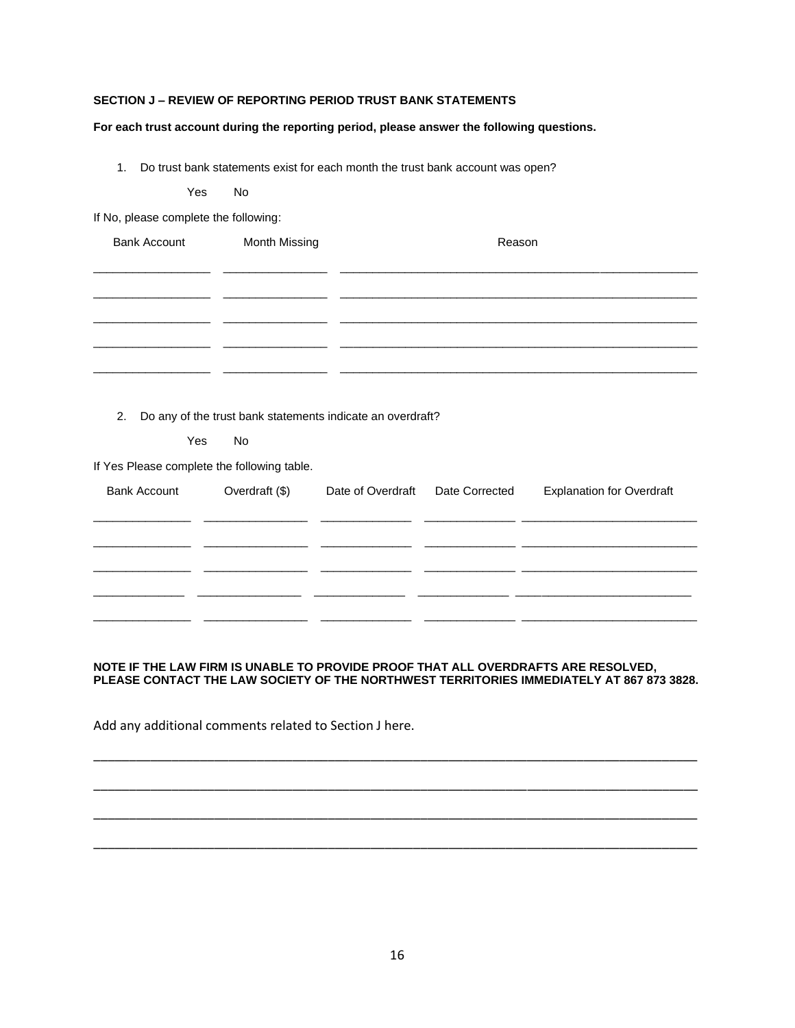## **SECTION J – REVIEW OF REPORTING PERIOD TRUST BANK STATEMENTS**

### **For each trust account during the reporting period, please answer the following questions.**

1. Do trust bank statements exist for each month the trust bank account was open?

Yes No

If No, please complete the following:

| <b>Bank Account</b> | <b>Month Missing</b><br>Reason |  |
|---------------------|--------------------------------|--|
|                     |                                |  |
|                     |                                |  |
|                     |                                |  |
|                     |                                |  |
|                     |                                |  |
|                     |                                |  |

2. Do any of the trust bank statements indicate an overdraft?

Yes No

If Yes Please complete the following table.

| <b>Bank Account</b> | Overdraft $(\$)$ | Date of Overdraft | Date Corrected | <b>Explanation for Overdraft</b> |
|---------------------|------------------|-------------------|----------------|----------------------------------|
|                     |                  |                   |                |                                  |
|                     |                  |                   |                |                                  |
|                     |                  |                   |                |                                  |

# **NOTE IF THE LAW FIRM IS UNABLE TO PROVIDE PROOF THAT ALL OVERDRAFTS ARE RESOLVED, PLEASE CONTACT THE LAW SOCIETY OF THE NORTHWEST TERRITORIES IMMEDIATELY AT 867 873 3828.**

\_\_\_\_\_\_\_\_\_\_\_\_\_\_\_\_\_\_\_\_\_\_\_\_\_\_\_\_\_\_\_\_\_\_\_\_\_\_\_\_\_\_\_\_\_\_\_\_\_\_\_\_\_\_\_\_\_\_\_\_\_\_\_\_\_\_\_\_\_\_\_\_\_\_\_\_\_\_\_\_\_\_\_\_\_

\_\_\_\_\_\_\_\_\_\_\_\_\_\_\_\_\_\_\_\_\_\_\_\_\_\_\_\_\_\_\_\_\_\_\_\_\_\_\_\_\_\_\_\_\_\_\_\_\_\_\_\_\_\_\_\_\_\_\_\_\_\_\_\_\_\_\_\_\_\_\_\_\_\_\_\_\_\_\_\_\_\_\_\_\_

\_\_\_\_\_\_\_\_\_\_\_\_\_\_\_\_\_\_\_\_\_\_\_\_\_\_\_\_\_\_\_\_\_\_\_\_\_\_\_\_\_\_\_\_\_\_\_\_\_\_\_\_\_\_\_\_\_\_\_\_\_\_\_\_\_\_\_\_\_\_\_\_\_\_\_\_\_\_\_\_\_\_\_\_\_

\_\_\_\_\_\_\_\_\_\_\_\_\_\_\_\_\_\_\_\_\_\_\_\_\_\_\_\_\_\_\_\_\_\_\_\_\_\_\_\_\_\_\_\_\_\_\_\_\_\_\_\_\_\_\_\_\_\_\_\_\_\_\_\_\_\_\_\_\_\_\_\_\_\_\_\_\_\_\_\_\_\_\_\_\_

Add any additional comments related to Section J here.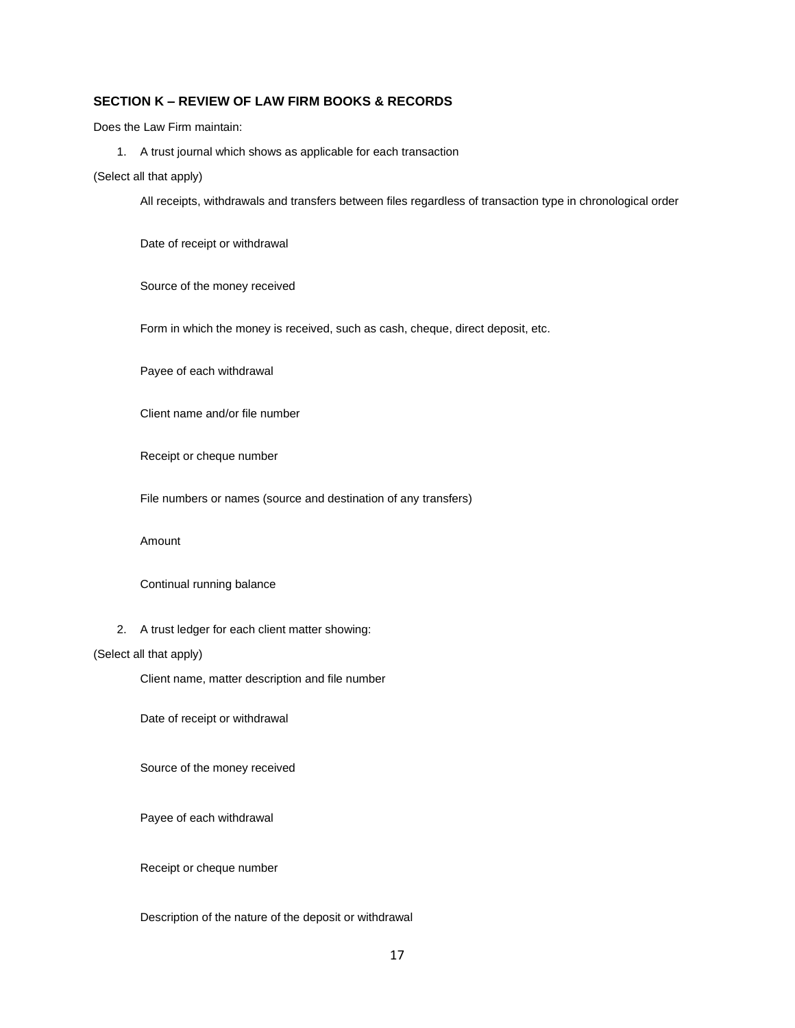# **SECTION K – REVIEW OF LAW FIRM BOOKS & RECORDS**

Does the Law Firm maintain:

1. A trust journal which shows as applicable for each transaction

(Select all that apply)

All receipts, withdrawals and transfers between files regardless of transaction type in chronological order

Date of receipt or withdrawal

Source of the money received

Form in which the money is received, such as cash, cheque, direct deposit, etc.

Payee of each withdrawal

Client name and/or file number

Receipt or cheque number

File numbers or names (source and destination of any transfers)

Amount

Continual running balance

2. A trust ledger for each client matter showing:

### (Select all that apply)

Client name, matter description and file number

Date of receipt or withdrawal

Source of the money received

Payee of each withdrawal

Receipt or cheque number

Description of the nature of the deposit or withdrawal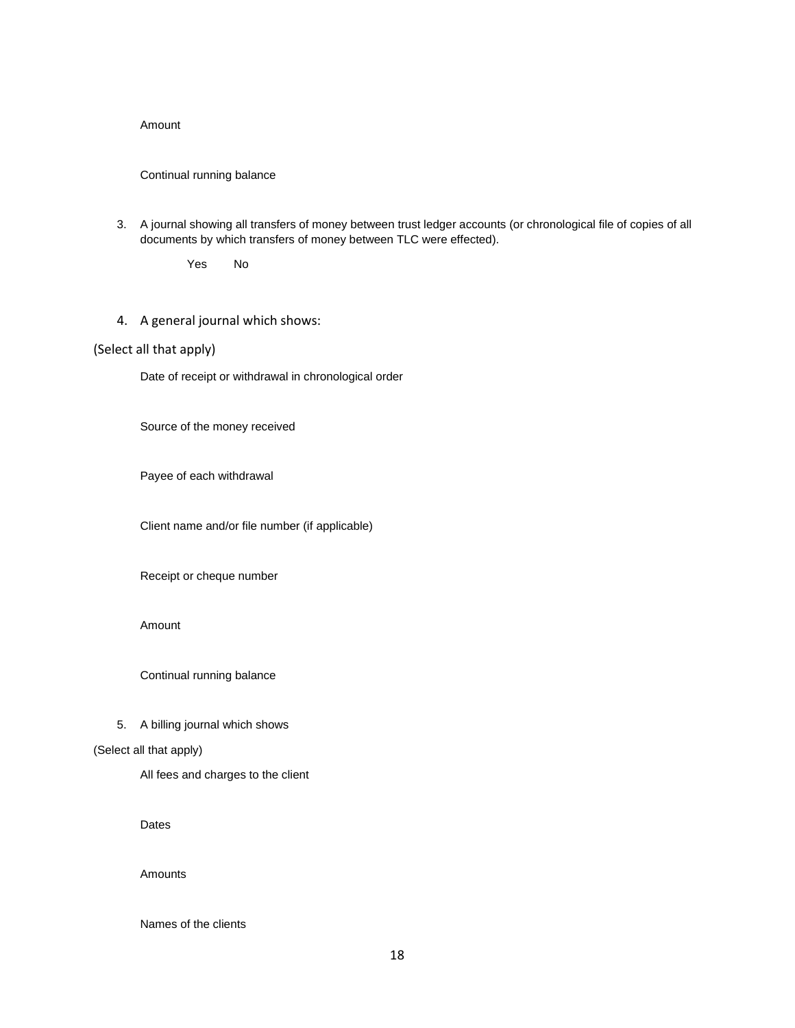### Amount

### Continual running balance

3. A journal showing all transfers of money between trust ledger accounts (or chronological file of copies of all documents by which transfers of money between TLC were effected).

Yes No

4. A general journal which shows:

# (Select all that apply)

Date of receipt or withdrawal in chronological order

Source of the money received

Payee of each withdrawal

Client name and/or file number (if applicable)

Receipt or cheque number

## Amount

Continual running balance

### 5. A billing journal which shows

### (Select all that apply)

All fees and charges to the client

Dates

#### Amounts

Names of the clients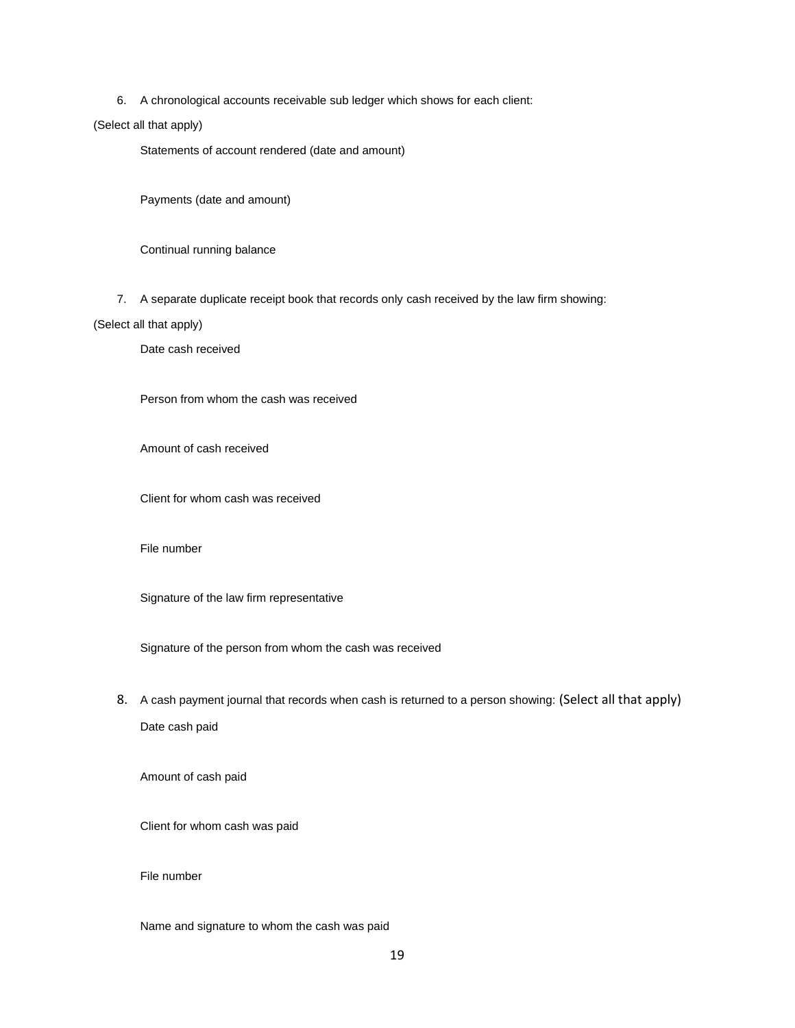6. A chronological accounts receivable sub ledger which shows for each client:

### (Select all that apply)

Statements of account rendered (date and amount)

Payments (date and amount)

Continual running balance

7. A separate duplicate receipt book that records only cash received by the law firm showing:

### (Select all that apply)

Date cash received

Person from whom the cash was received

Amount of cash received

Client for whom cash was received

#### File number

Signature of the law firm representative

Signature of the person from whom the cash was received

8. A cash payment journal that records when cash is returned to a person showing: (Select all that apply) Date cash paid

Amount of cash paid

Client for whom cash was paid

### File number

Name and signature to whom the cash was paid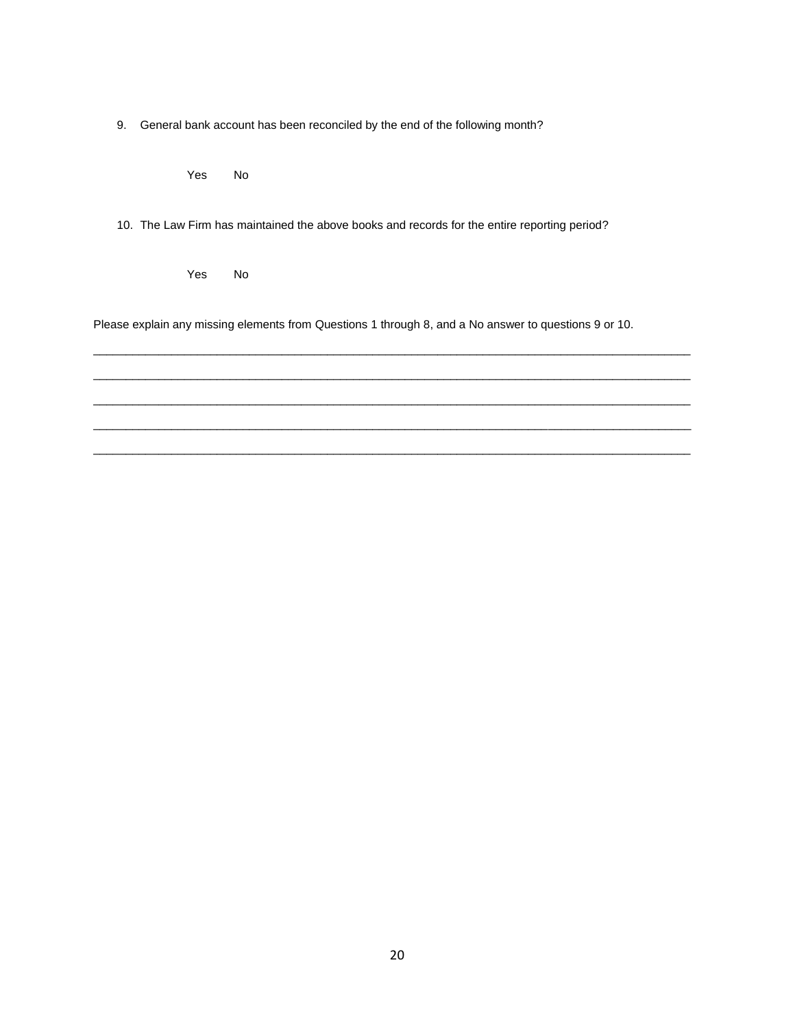9. General bank account has been reconciled by the end of the following month?

Yes No

10. The Law Firm has maintained the above books and records for the entire reporting period?

Yes No

Please explain any missing elements from Questions 1 through 8, and a No answer to questions 9 or 10.

 $\mathcal{L}_\mathcal{L} = \{ \mathcal{L}_\mathcal{L} = \{ \mathcal{L}_\mathcal{L} = \{ \mathcal{L}_\mathcal{L} = \{ \mathcal{L}_\mathcal{L} = \{ \mathcal{L}_\mathcal{L} = \{ \mathcal{L}_\mathcal{L} = \{ \mathcal{L}_\mathcal{L} = \{ \mathcal{L}_\mathcal{L} = \{ \mathcal{L}_\mathcal{L} = \{ \mathcal{L}_\mathcal{L} = \{ \mathcal{L}_\mathcal{L} = \{ \mathcal{L}_\mathcal{L} = \{ \mathcal{L}_\mathcal{L} = \{ \mathcal{L}_\mathcal{$  $\mathcal{L}_\mathcal{L} = \{ \mathcal{L}_\mathcal{L} = \{ \mathcal{L}_\mathcal{L} = \{ \mathcal{L}_\mathcal{L} = \{ \mathcal{L}_\mathcal{L} = \{ \mathcal{L}_\mathcal{L} = \{ \mathcal{L}_\mathcal{L} = \{ \mathcal{L}_\mathcal{L} = \{ \mathcal{L}_\mathcal{L} = \{ \mathcal{L}_\mathcal{L} = \{ \mathcal{L}_\mathcal{L} = \{ \mathcal{L}_\mathcal{L} = \{ \mathcal{L}_\mathcal{L} = \{ \mathcal{L}_\mathcal{L} = \{ \mathcal{L}_\mathcal{$  $\mathcal{L}_\mathcal{L} = \{ \mathcal{L}_\mathcal{L} = \{ \mathcal{L}_\mathcal{L} = \{ \mathcal{L}_\mathcal{L} = \{ \mathcal{L}_\mathcal{L} = \{ \mathcal{L}_\mathcal{L} = \{ \mathcal{L}_\mathcal{L} = \{ \mathcal{L}_\mathcal{L} = \{ \mathcal{L}_\mathcal{L} = \{ \mathcal{L}_\mathcal{L} = \{ \mathcal{L}_\mathcal{L} = \{ \mathcal{L}_\mathcal{L} = \{ \mathcal{L}_\mathcal{L} = \{ \mathcal{L}_\mathcal{L} = \{ \mathcal{L}_\mathcal{$  $\overline{\phantom{a}}$  ,  $\overline{\phantom{a}}$  ,  $\overline{\phantom{a}}$  ,  $\overline{\phantom{a}}$  ,  $\overline{\phantom{a}}$  ,  $\overline{\phantom{a}}$  ,  $\overline{\phantom{a}}$  ,  $\overline{\phantom{a}}$  ,  $\overline{\phantom{a}}$  ,  $\overline{\phantom{a}}$  ,  $\overline{\phantom{a}}$  ,  $\overline{\phantom{a}}$  ,  $\overline{\phantom{a}}$  ,  $\overline{\phantom{a}}$  ,  $\overline{\phantom{a}}$  ,  $\overline{\phantom{a}}$  $\mathcal{L}_\mathcal{L} = \{ \mathcal{L}_\mathcal{L} = \{ \mathcal{L}_\mathcal{L} = \{ \mathcal{L}_\mathcal{L} = \{ \mathcal{L}_\mathcal{L} = \{ \mathcal{L}_\mathcal{L} = \{ \mathcal{L}_\mathcal{L} = \{ \mathcal{L}_\mathcal{L} = \{ \mathcal{L}_\mathcal{L} = \{ \mathcal{L}_\mathcal{L} = \{ \mathcal{L}_\mathcal{L} = \{ \mathcal{L}_\mathcal{L} = \{ \mathcal{L}_\mathcal{L} = \{ \mathcal{L}_\mathcal{L} = \{ \mathcal{L}_\mathcal{$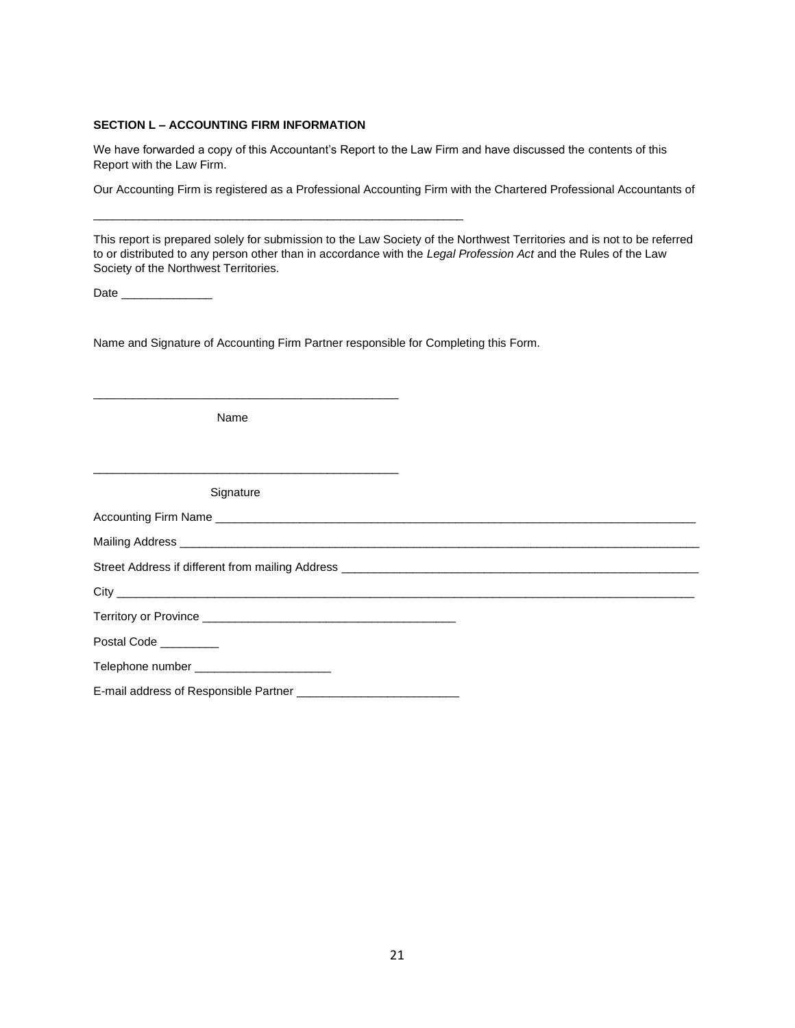# **SECTION L – ACCOUNTING FIRM INFORMATION**

We have forwarded a copy of this Accountant's Report to the Law Firm and have discussed the contents of this Report with the Law Firm.

Our Accounting Firm is registered as a Professional Accounting Firm with the Chartered Professional Accountants of

This report is prepared solely for submission to the Law Society of the Northwest Territories and is not to be referred to or distributed to any person other than in accordance with the *Legal Profession Act* and the Rules of the Law Society of the Northwest Territories.

Date \_\_\_\_\_\_\_\_\_\_\_\_\_\_

Name and Signature of Accounting Firm Partner responsible for Completing this Form.

\_\_\_\_\_\_\_\_\_\_\_\_\_\_\_\_\_\_\_\_\_\_\_\_\_\_\_\_\_\_\_\_\_\_\_\_\_\_\_\_\_\_\_\_\_\_\_\_\_\_\_\_\_\_\_\_\_

Name

\_\_\_\_\_\_\_\_\_\_\_\_\_\_\_\_\_\_\_\_\_\_\_\_\_\_\_\_\_\_\_\_\_\_\_\_\_\_\_\_\_\_\_\_\_\_\_

\_\_\_\_\_\_\_\_\_\_\_\_\_\_\_\_\_\_\_\_\_\_\_\_\_\_\_\_\_\_\_\_\_\_\_\_\_\_\_\_\_\_\_\_\_\_\_

Signature

| Accounting Firm Name                             |
|--------------------------------------------------|
| Mailing Address                                  |
| Street Address if different from mailing Address |

City \_\_\_\_\_\_\_\_\_\_\_\_\_\_\_\_\_\_\_\_\_\_\_\_\_\_\_\_\_\_\_\_\_\_\_\_\_\_\_\_\_\_\_\_\_\_\_\_\_\_\_\_\_\_\_\_\_\_\_\_\_\_\_\_\_\_\_\_\_\_\_\_\_\_\_\_\_\_\_\_\_\_\_\_\_\_\_\_\_

Territory or Province \_\_\_\_\_\_\_\_\_\_\_\_\_\_\_\_\_\_\_\_\_\_\_\_\_\_\_\_\_\_\_\_\_\_\_\_\_\_\_

Postal Code \_\_\_\_\_\_\_\_\_

Telephone number \_\_\_\_\_\_\_\_\_\_\_\_\_\_\_\_\_\_\_\_\_

E-mail address of Responsible Partner \_\_\_\_\_\_\_\_\_\_\_\_\_\_\_\_\_\_\_\_\_\_\_\_\_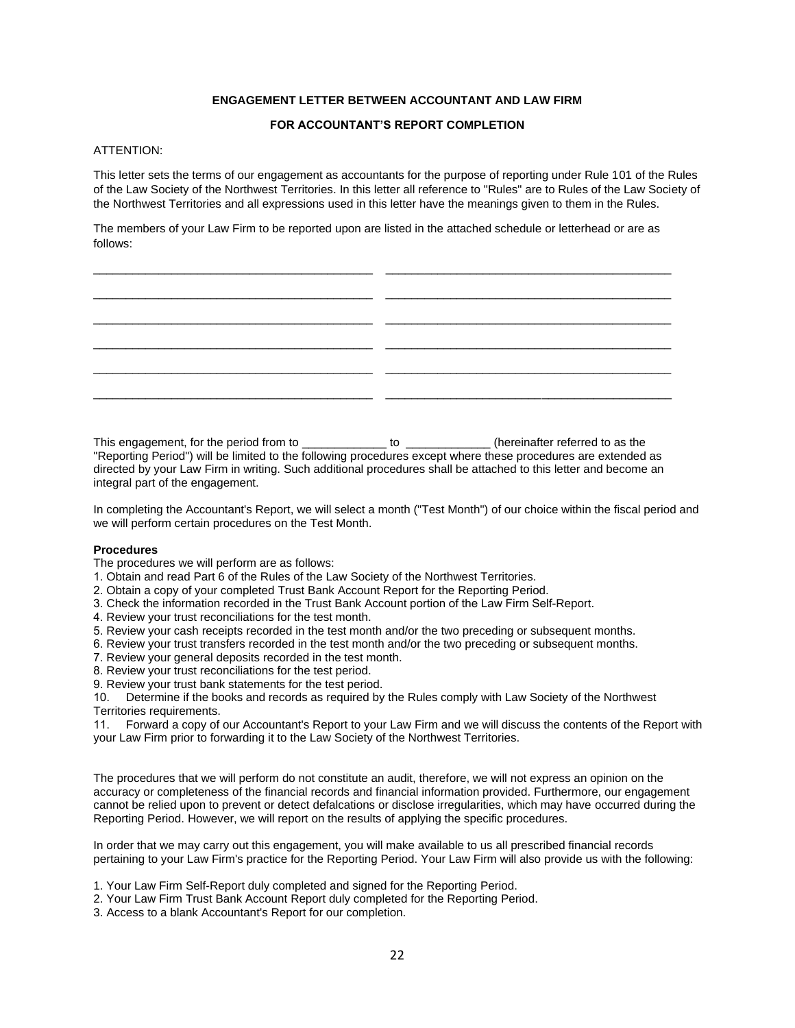## **ENGAGEMENT LETTER BETWEEN ACCOUNTANT AND LAW FIRM**

### **FOR ACCOUNTANT'S REPORT COMPLETION**

# ATTENTION:

This letter sets the terms of our engagement as accountants for the purpose of reporting under Rule 101 of the Rules of the Law Society of the Northwest Territories. In this letter all reference to "Rules" are to Rules of the Law Society of the Northwest Territories and all expressions used in this letter have the meanings given to them in the Rules.

The members of your Law Firm to be reported upon are listed in the attached schedule or letterhead or are as follows:

| the control of the control of the control of the control of the control of the control of |     |
|-------------------------------------------------------------------------------------------|-----|
|                                                                                           |     |
|                                                                                           | _ _ |
|                                                                                           |     |
|                                                                                           | _ _ |
|                                                                                           |     |
|                                                                                           |     |
|                                                                                           |     |
|                                                                                           |     |
|                                                                                           |     |

This engagement, for the period from to b and to to a contribution of the referred to as the referred to as the "Reporting Period") will be limited to the following procedures except where these procedures are extended as directed by your Law Firm in writing. Such additional procedures shall be attached to this letter and become an integral part of the engagement.

In completing the Accountant's Report, we will select a month ("Test Month") of our choice within the fiscal period and we will perform certain procedures on the Test Month.

#### **Procedures**

The procedures we will perform are as follows:

- 1. Obtain and read Part 6 of the Rules of the Law Society of the Northwest Territories.
- 2. Obtain a copy of your completed Trust Bank Account Report for the Reporting Period.
- 3. Check the information recorded in the Trust Bank Account portion of the Law Firm Self-Report.
- 4. Review your trust reconciliations for the test month.
- 5. Review your cash receipts recorded in the test month and/or the two preceding or subsequent months.
- 6. Review your trust transfers recorded in the test month and/or the two preceding or subsequent months.
- 7. Review your general deposits recorded in the test month.
- 8. Review your trust reconciliations for the test period.
- 9. Review your trust bank statements for the test period.

10. Determine if the books and records as required by the Rules comply with Law Society of the Northwest Territories requirements.

11. Forward a copy of our Accountant's Report to your Law Firm and we will discuss the contents of the Report with your Law Firm prior to forwarding it to the Law Society of the Northwest Territories.

The procedures that we will perform do not constitute an audit, therefore, we will not express an opinion on the accuracy or completeness of the financial records and financial information provided. Furthermore, our engagement cannot be relied upon to prevent or detect defalcations or disclose irregularities, which may have occurred during the Reporting Period. However, we will report on the results of applying the specific procedures.

In order that we may carry out this engagement, you will make available to us all prescribed financial records pertaining to your Law Firm's practice for the Reporting Period. Your Law Firm will also provide us with the following:

- 1. Your Law Firm Self-Report duly completed and signed for the Reporting Period.
- 2. Your Law Firm Trust Bank Account Report duly completed for the Reporting Period.
- 3. Access to a blank Accountant's Report for our completion.